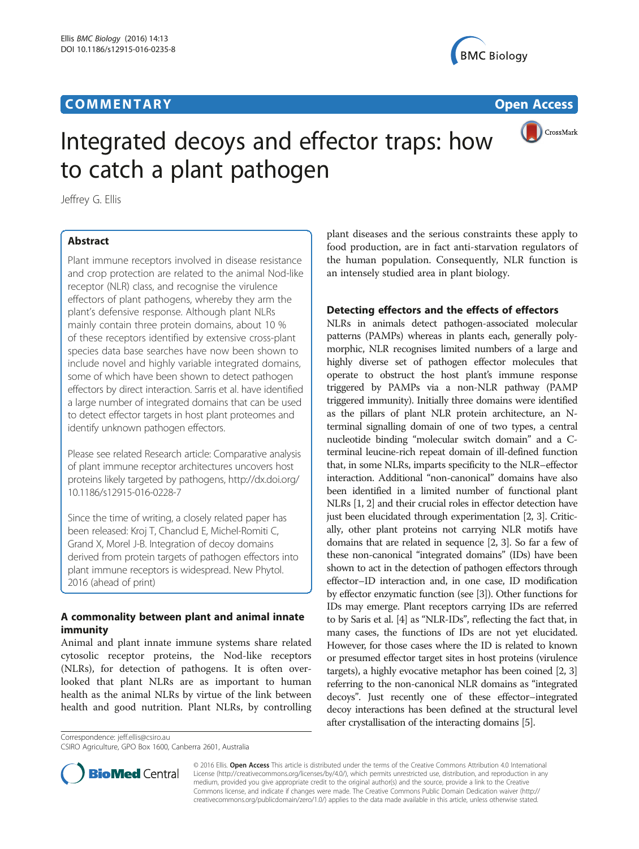## **COMMENTARY COMMENTARY Open Access**





# Integrated decoys and effector traps: how to catch a plant pathogen

Jeffrey G. Ellis

### Abstract

Plant immune receptors involved in disease resistance and crop protection are related to the animal Nod-like receptor (NLR) class, and recognise the virulence effectors of plant pathogens, whereby they arm the plant's defensive response. Although plant NLRs mainly contain three protein domains, about 10 % of these receptors identified by extensive cross-plant species data base searches have now been shown to include novel and highly variable integrated domains, some of which have been shown to detect pathogen effectors by direct interaction. Sarris et al. have identified a large number of integrated domains that can be used to detect effector targets in host plant proteomes and identify unknown pathogen effectors.

Please see related Research article: Comparative analysis of plant immune receptor architectures uncovers host proteins likely targeted by pathogens, [http://dx.doi.org/](http://dx.doi.org/10.1186/s12915-016-0228-7) [10.1186/s12915-016-0228-7](http://dx.doi.org/10.1186/s12915-016-0228-7)

Since the time of writing, a closely related paper has been released: Kroj T, Chanclud E, Michel-Romiti C, Grand X, Morel J-B. Integration of decoy domains derived from protein targets of pathogen effectors into plant immune receptors is widespread. New Phytol. 2016 (ahead of print)

### A commonality between plant and animal innate immunity

Animal and plant innate immune systems share related cytosolic receptor proteins, the Nod-like receptors (NLRs), for detection of pathogens. It is often overlooked that plant NLRs are as important to human health as the animal NLRs by virtue of the link between health and good nutrition. Plant NLRs, by controlling

Correspondence: [jeff.ellis@csiro.au](mailto:jeff.ellis@csiro.au) CSIRO Agriculture, GPO Box 1600, Canberra 2601, Australia

plant diseases and the serious constraints these apply to food production, are in fact anti-starvation regulators of the human population. Consequently, NLR function is an intensely studied area in plant biology.

#### Detecting effectors and the effects of effectors

NLRs in animals detect pathogen-associated molecular patterns (PAMPs) whereas in plants each, generally polymorphic, NLR recognises limited numbers of a large and highly diverse set of pathogen effector molecules that operate to obstruct the host plant's immune response triggered by PAMPs via a non-NLR pathway (PAMP triggered immunity). Initially three domains were identified as the pillars of plant NLR protein architecture, an Nterminal signalling domain of one of two types, a central nucleotide binding "molecular switch domain" and a Cterminal leucine-rich repeat domain of ill-defined function that, in some NLRs, imparts specificity to the NLR–effector interaction. Additional "non-canonical" domains have also been identified in a limited number of functional plant NLRs [\[1](#page-2-0), [2](#page-2-0)] and their crucial roles in effector detection have just been elucidated through experimentation [[2](#page-2-0), [3](#page-2-0)]. Critically, other plant proteins not carrying NLR motifs have domains that are related in sequence [\[2, 3\]](#page-2-0). So far a few of these non-canonical "integrated domains" (IDs) have been shown to act in the detection of pathogen effectors through effector–ID interaction and, in one case, ID modification by effector enzymatic function (see [\[3\]](#page-2-0)). Other functions for IDs may emerge. Plant receptors carrying IDs are referred to by Saris et al. [\[4](#page-2-0)] as "NLR-IDs", reflecting the fact that, in many cases, the functions of IDs are not yet elucidated. However, for those cases where the ID is related to known or presumed effector target sites in host proteins (virulence targets), a highly evocative metaphor has been coined [\[2, 3](#page-2-0)] referring to the non-canonical NLR domains as "integrated decoys". Just recently one of these effector–integrated decoy interactions has been defined at the structural level after crystallisation of the interacting domains [\[5](#page-2-0)].



© 2016 Ellis. Open Access This article is distributed under the terms of the Creative Commons Attribution 4.0 International License ([http://creativecommons.org/licenses/by/4.0/\)](http://creativecommons.org/licenses/by/4.0/), which permits unrestricted use, distribution, and reproduction in any medium, provided you give appropriate credit to the original author(s) and the source, provide a link to the Creative Commons license, and indicate if changes were made. The Creative Commons Public Domain Dedication waiver ([http://](http://creativecommons.org/publicdomain/zero/1.0/) [creativecommons.org/publicdomain/zero/1.0/\)](http://creativecommons.org/publicdomain/zero/1.0/) applies to the data made available in this article, unless otherwise stated.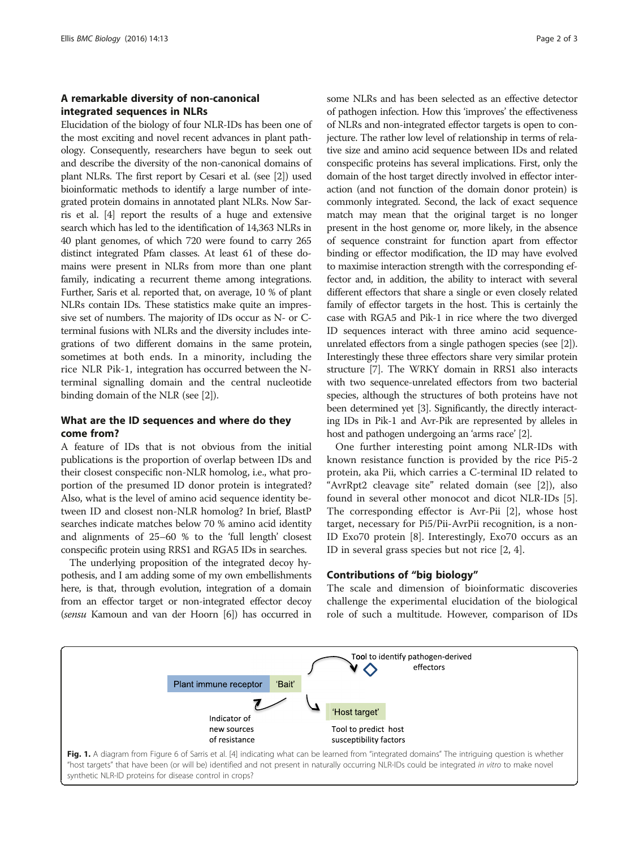#### <span id="page-1-0"></span>A remarkable diversity of non-canonical integrated sequences in NLRs

Elucidation of the biology of four NLR-IDs has been one of the most exciting and novel recent advances in plant pathology. Consequently, researchers have begun to seek out and describe the diversity of the non-canonical domains of plant NLRs. The first report by Cesari et al. (see [\[2\]](#page-2-0)) used bioinformatic methods to identify a large number of integrated protein domains in annotated plant NLRs. Now Sarris et al. [[4\]](#page-2-0) report the results of a huge and extensive search which has led to the identification of 14,363 NLRs in 40 plant genomes, of which 720 were found to carry 265 distinct integrated Pfam classes. At least 61 of these domains were present in NLRs from more than one plant family, indicating a recurrent theme among integrations. Further, Saris et al. reported that, on average, 10 % of plant NLRs contain IDs. These statistics make quite an impressive set of numbers. The majority of IDs occur as N- or Cterminal fusions with NLRs and the diversity includes integrations of two different domains in the same protein, sometimes at both ends. In a minority, including the rice NLR Pik-1, integration has occurred between the Nterminal signalling domain and the central nucleotide binding domain of the NLR (see [[2\]](#page-2-0)).

#### What are the ID sequences and where do they come from?

A feature of IDs that is not obvious from the initial publications is the proportion of overlap between IDs and their closest conspecific non-NLR homolog, i.e., what proportion of the presumed ID donor protein is integrated? Also, what is the level of amino acid sequence identity between ID and closest non-NLR homolog? In brief, BlastP searches indicate matches below 70 % amino acid identity and alignments of 25–60 % to the 'full length' closest conspecific protein using RRS1 and RGA5 IDs in searches.

The underlying proposition of the integrated decoy hypothesis, and I am adding some of my own embellishments here, is that, through evolution, integration of a domain from an effector target or non-integrated effector decoy (sensu Kamoun and van der Hoorn [\[6\]](#page-2-0)) has occurred in some NLRs and has been selected as an effective detector of pathogen infection. How this 'improves' the effectiveness of NLRs and non-integrated effector targets is open to conjecture. The rather low level of relationship in terms of relative size and amino acid sequence between IDs and related conspecific proteins has several implications. First, only the domain of the host target directly involved in effector interaction (and not function of the domain donor protein) is commonly integrated. Second, the lack of exact sequence match may mean that the original target is no longer present in the host genome or, more likely, in the absence of sequence constraint for function apart from effector binding or effector modification, the ID may have evolved to maximise interaction strength with the corresponding effector and, in addition, the ability to interact with several different effectors that share a single or even closely related family of effector targets in the host. This is certainly the case with RGA5 and Pik-1 in rice where the two diverged ID sequences interact with three amino acid sequenceunrelated effectors from a single pathogen species (see [[2](#page-2-0)]). Interestingly these three effectors share very similar protein structure [\[7](#page-2-0)]. The WRKY domain in RRS1 also interacts with two sequence-unrelated effectors from two bacterial species, although the structures of both proteins have not been determined yet [\[3\]](#page-2-0). Significantly, the directly interacting IDs in Pik-1 and Avr-Pik are represented by alleles in host and pathogen undergoing an 'arms race' [\[2](#page-2-0)].

One further interesting point among NLR-IDs with known resistance function is provided by the rice Pi5-2 protein, aka Pii, which carries a C-terminal ID related to "AvrRpt2 cleavage site" related domain (see [[2\]](#page-2-0)), also found in several other monocot and dicot NLR-IDs [\[5](#page-2-0)]. The corresponding effector is Avr-Pii [\[2\]](#page-2-0), whose host target, necessary for Pi5/Pii-AvrPii recognition, is a non-ID Exo70 protein [\[8](#page-2-0)]. Interestingly, Exo70 occurs as an ID in several grass species but not rice [\[2, 4\]](#page-2-0).

#### Contributions of "big biology"

The scale and dimension of bioinformatic discoveries challenge the experimental elucidation of the biological role of such a multitude. However, comparison of IDs